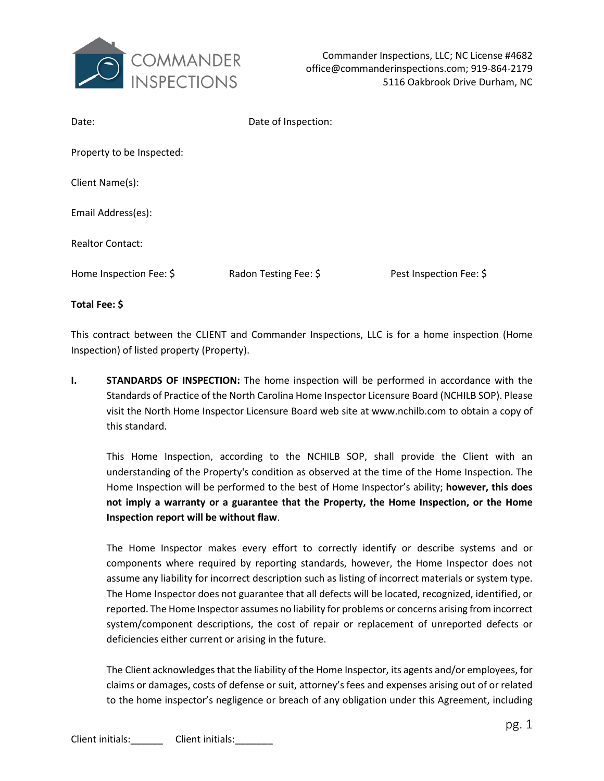

| Date:                     | Date of Inspection:   |                         |
|---------------------------|-----------------------|-------------------------|
| Property to be Inspected: |                       |                         |
| Client Name(s):           |                       |                         |
| Email Address(es):        |                       |                         |
| <b>Realtor Contact:</b>   |                       |                         |
| Home Inspection Fee: \$   | Radon Testing Fee: \$ | Pest Inspection Fee: \$ |

**Total Fee: \$**

This contract between the CLIENT and Commander Inspections, LLC is for a home inspection (Home Inspection) of listed property (Property).

**I. STANDARDS OF INSPECTION:** The home inspection will be performed in accordance with the Standards of Practice of the North Carolina Home Inspector Licensure Board (NCHILB SOP). Please visit the North Home Inspector Licensure Board web site at www.nchilb.com to obtain a copy of this standard.

This Home Inspection, according to the NCHILB SOP, shall provide the Client with an understanding of the Property's condition as observed at the time of the Home Inspection. The Home Inspection will be performed to the best of Home Inspector's ability; **however, this does not imply a warranty or a guarantee that the Property, the Home Inspection, or the Home Inspection report will be without flaw**.

The Home Inspector makes every effort to correctly identify or describe systems and or components where required by reporting standards, however, the Home Inspector does not assume any liability for incorrect description such as listing of incorrect materials or system type. The Home Inspector does not guarantee that all defects will be located, recognized, identified, or reported. The Home Inspector assumes no liability for problems or concerns arising from incorrect system/component descriptions, the cost of repair or replacement of unreported defects or deficiencies either current or arising in the future.

The Client acknowledges that the liability of the Home Inspector, its agents and/or employees, for claims or damages, costs of defense or suit, attorney's fees and expenses arising out of or related to the home inspector's negligence or breach of any obligation under this Agreement, including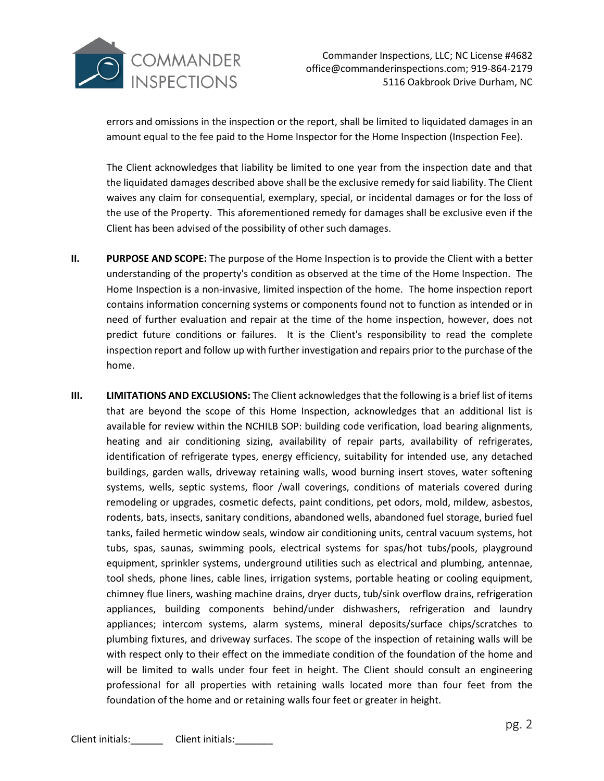

errors and omissions in the inspection or the report, shall be limited to liquidated damages in an amount equal to the fee paid to the Home Inspector for the Home Inspection (Inspection Fee).

The Client acknowledges that liability be limited to one year from the inspection date and that the liquidated damages described above shall be the exclusive remedy for said liability. The Client waives any claim for consequential, exemplary, special, or incidental damages or for the loss of the use of the Property. This aforementioned remedy for damages shall be exclusive even if the Client has been advised of the possibility of other such damages.

- **II. PURPOSE AND SCOPE:** The purpose of the Home Inspection is to provide the Client with a better understanding of the property's condition as observed at the time of the Home Inspection. The Home Inspection is a non-invasive, limited inspection of the home. The home inspection report contains information concerning systems or components found not to function as intended or in need of further evaluation and repair at the time of the home inspection, however, does not predict future conditions or failures. It is the Client's responsibility to read the complete inspection report and follow up with further investigation and repairs prior to the purchase of the home.
- **III. LIMITATIONS AND EXCLUSIONS:** The Client acknowledges that the following is a brief list of items that are beyond the scope of this Home Inspection, acknowledges that an additional list is available for review within the NCHILB SOP: building code verification, load bearing alignments, heating and air conditioning sizing, availability of repair parts, availability of refrigerates, identification of refrigerate types, energy efficiency, suitability for intended use, any detached buildings, garden walls, driveway retaining walls, wood burning insert stoves, water softening systems, wells, septic systems, floor /wall coverings, conditions of materials covered during remodeling or upgrades, cosmetic defects, paint conditions, pet odors, mold, mildew, asbestos, rodents, bats, insects, sanitary conditions, abandoned wells, abandoned fuel storage, buried fuel tanks, failed hermetic window seals, window air conditioning units, central vacuum systems, hot tubs, spas, saunas, swimming pools, electrical systems for spas/hot tubs/pools, playground equipment, sprinkler systems, underground utilities such as electrical and plumbing, antennae, tool sheds, phone lines, cable lines, irrigation systems, portable heating or cooling equipment, chimney flue liners, washing machine drains, dryer ducts, tub/sink overflow drains, refrigeration appliances, building components behind/under dishwashers, refrigeration and laundry appliances; intercom systems, alarm systems, mineral deposits/surface chips/scratches to plumbing fixtures, and driveway surfaces. The scope of the inspection of retaining walls will be with respect only to their effect on the immediate condition of the foundation of the home and will be limited to walls under four feet in height. The Client should consult an engineering professional for all properties with retaining walls located more than four feet from the foundation of the home and or retaining walls four feet or greater in height.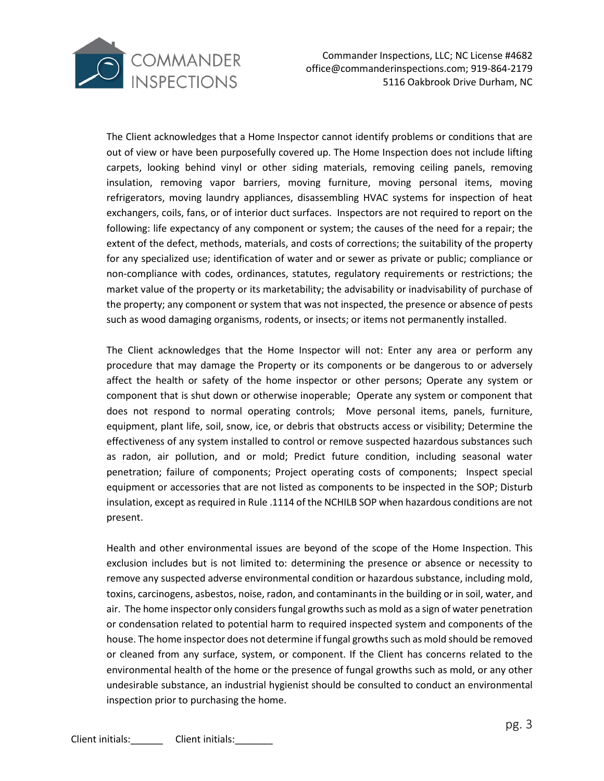

Commander Inspections, LLC; NC License #4682 office@commanderinspections.com; 919-864-2179 5116 Oakbrook Drive Durham, NC

The Client acknowledges that a Home Inspector cannot identify problems or conditions that are out of view or have been purposefully covered up. The Home Inspection does not include lifting carpets, looking behind vinyl or other siding materials, removing ceiling panels, removing insulation, removing vapor barriers, moving furniture, moving personal items, moving refrigerators, moving laundry appliances, disassembling HVAC systems for inspection of heat exchangers, coils, fans, or of interior duct surfaces. Inspectors are not required to report on the following: life expectancy of any component or system; the causes of the need for a repair; the extent of the defect, methods, materials, and costs of corrections; the suitability of the property for any specialized use; identification of water and or sewer as private or public; compliance or non-compliance with codes, ordinances, statutes, regulatory requirements or restrictions; the market value of the property or its marketability; the advisability or inadvisability of purchase of the property; any component or system that was not inspected, the presence or absence of pests such as wood damaging organisms, rodents, or insects; or items not permanently installed.

The Client acknowledges that the Home Inspector will not: Enter any area or perform any procedure that may damage the Property or its components or be dangerous to or adversely affect the health or safety of the home inspector or other persons; Operate any system or component that is shut down or otherwise inoperable; Operate any system or component that does not respond to normal operating controls; Move personal items, panels, furniture, equipment, plant life, soil, snow, ice, or debris that obstructs access or visibility; Determine the effectiveness of any system installed to control or remove suspected hazardous substances such as radon, air pollution, and or mold; Predict future condition, including seasonal water penetration; failure of components; Project operating costs of components; Inspect special equipment or accessories that are not listed as components to be inspected in the SOP; Disturb insulation, except as required in Rule .1114 of the NCHILB SOP when hazardous conditions are not present.

Health and other environmental issues are beyond of the scope of the Home Inspection. This exclusion includes but is not limited to: determining the presence or absence or necessity to remove any suspected adverse environmental condition or hazardous substance, including mold, toxins, carcinogens, asbestos, noise, radon, and contaminants in the building or in soil, water, and air. The home inspector only considers fungal growths such as mold as a sign of water penetration or condensation related to potential harm to required inspected system and components of the house. The home inspector does not determine if fungal growths such as mold should be removed or cleaned from any surface, system, or component. If the Client has concerns related to the environmental health of the home or the presence of fungal growths such as mold, or any other undesirable substance, an industrial hygienist should be consulted to conduct an environmental inspection prior to purchasing the home.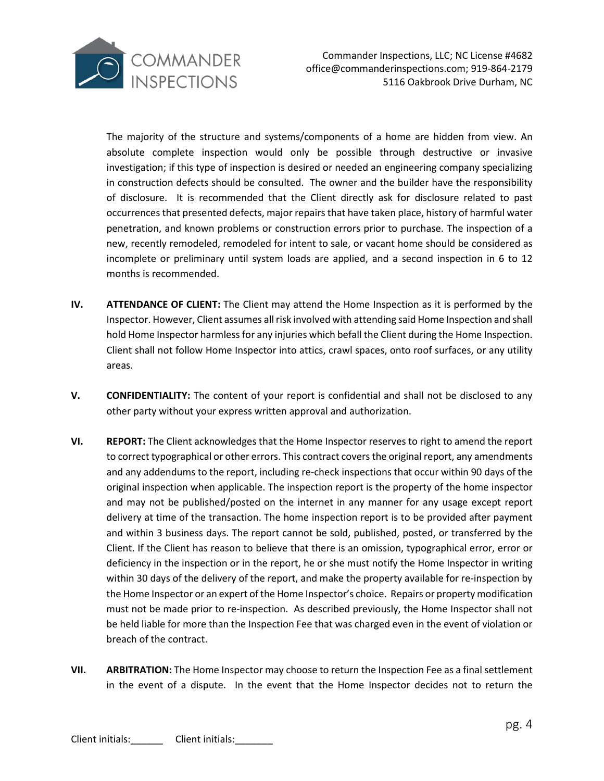

The majority of the structure and systems/components of a home are hidden from view. An absolute complete inspection would only be possible through destructive or invasive investigation; if this type of inspection is desired or needed an engineering company specializing in construction defects should be consulted. The owner and the builder have the responsibility of disclosure. It is recommended that the Client directly ask for disclosure related to past occurrences that presented defects, major repairs that have taken place, history of harmful water penetration, and known problems or construction errors prior to purchase. The inspection of a new, recently remodeled, remodeled for intent to sale, or vacant home should be considered as incomplete or preliminary until system loads are applied, and a second inspection in 6 to 12 months is recommended.

- **IV. ATTENDANCE OF CLIENT:** The Client may attend the Home Inspection as it is performed by the Inspector. However, Client assumes all risk involved with attending said Home Inspection and shall hold Home Inspector harmless for any injuries which befall the Client during the Home Inspection. Client shall not follow Home Inspector into attics, crawl spaces, onto roof surfaces, or any utility areas.
- **V. CONFIDENTIALITY:** The content of your report is confidential and shall not be disclosed to any other party without your express written approval and authorization.
- **VI. REPORT:** The Client acknowledges that the Home Inspector reserves to right to amend the report to correct typographical or other errors. This contract covers the original report, any amendments and any addendums to the report, including re-check inspections that occur within 90 days of the original inspection when applicable. The inspection report is the property of the home inspector and may not be published/posted on the internet in any manner for any usage except report delivery at time of the transaction. The home inspection report is to be provided after payment and within 3 business days. The report cannot be sold, published, posted, or transferred by the Client. If the Client has reason to believe that there is an omission, typographical error, error or deficiency in the inspection or in the report, he or she must notify the Home Inspector in writing within 30 days of the delivery of the report, and make the property available for re-inspection by the Home Inspector or an expert of the Home Inspector's choice. Repairs or property modification must not be made prior to re-inspection. As described previously, the Home Inspector shall not be held liable for more than the Inspection Fee that was charged even in the event of violation or breach of the contract.
- **VII. ARBITRATION:** The Home Inspector may choose to return the Inspection Fee as a final settlement in the event of a dispute. In the event that the Home Inspector decides not to return the